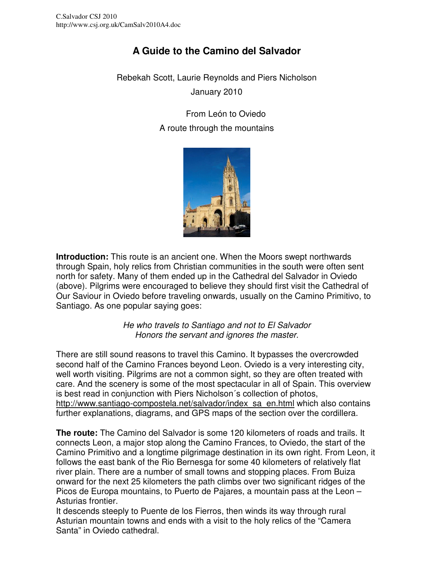# **A Guide to the Camino del Salvador**

Rebekah Scott, Laurie Reynolds and Piers Nicholson January 2010

> From León to Oviedo A route through the mountains



**Introduction:** This route is an ancient one. When the Moors swept northwards through Spain, holy relics from Christian communities in the south were often sent north for safety. Many of them ended up in the Cathedral del Salvador in Oviedo (above). Pilgrims were encouraged to believe they should first visit the Cathedral of Our Saviour in Oviedo before traveling onwards, usually on the Camino Primitivo, to Santiago. As one popular saying goes:

> He who travels to Santiago and not to El Salvador Honors the servant and ignores the master.

There are still sound reasons to travel this Camino. It bypasses the overcrowded second half of the Camino Frances beyond Leon. Oviedo is a very interesting city, well worth visiting. Pilgrims are not a common sight, so they are often treated with care. And the scenery is some of the most spectacular in all of Spain. This overview is best read in conjunction with Piers Nicholson´s collection of photos, http://www.santiago-compostela.net/salvador/index\_sa\_en.html which also contains further explanations, diagrams, and GPS maps of the section over the cordillera.

**The route:** The Camino del Salvador is some 120 kilometers of roads and trails. It connects Leon, a major stop along the Camino Frances, to Oviedo, the start of the Camino Primitivo and a longtime pilgrimage destination in its own right. From Leon, it follows the east bank of the Rio Bernesga for some 40 kilometers of relatively flat river plain. There are a number of small towns and stopping places. From Buiza onward for the next 25 kilometers the path climbs over two significant ridges of the Picos de Europa mountains, to Puerto de Pajares, a mountain pass at the Leon – Asturias frontier.

It descends steeply to Puente de los Fierros, then winds its way through rural Asturian mountain towns and ends with a visit to the holy relics of the "Camera Santa" in Oviedo cathedral.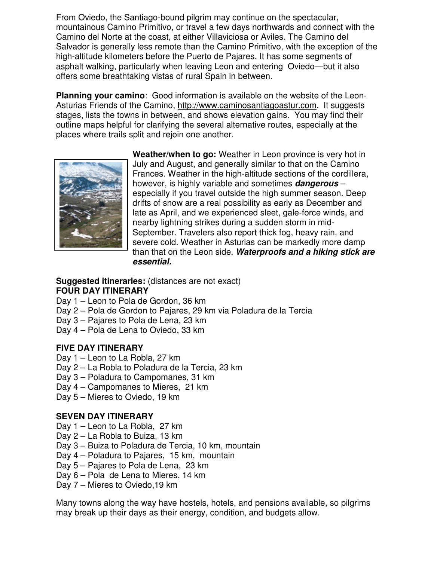From Oviedo, the Santiago-bound pilgrim may continue on the spectacular, mountainous Camino Primitivo, or travel a few days northwards and connect with the Camino del Norte at the coast, at either Villaviciosa or Aviles. The Camino del Salvador is generally less remote than the Camino Primitivo, with the exception of the high-altitude kilometers before the Puerto de Pajares. It has some segments of asphalt walking, particularly when leaving Leon and entering Oviedo—but it also offers some breathtaking vistas of rural Spain in between.

**Planning your camino**: Good information is available on the website of the Leon-Asturias Friends of the Camino, http://www.caminosantiagoastur.com. It suggests stages, lists the towns in between, and shows elevation gains. You may find their outline maps helpful for clarifying the several alternative routes, especially at the places where trails split and rejoin one another.



**Weather/when to go:** Weather in Leon province is very hot in July and August, and generally similar to that on the Camino Frances. Weather in the high-altitude sections of the cordillera, however, is highly variable and sometimes **dangerous** – especially if you travel outside the high summer season. Deep drifts of snow are a real possibility as early as December and late as April, and we experienced sleet, gale-force winds, and nearby lightning strikes during a sudden storm in mid-September. Travelers also report thick fog, heavy rain, and severe cold. Weather in Asturias can be markedly more damp than that on the Leon side. **Waterproofs and a hiking stick are essential.**

#### **Suggested itineraries:** (distances are not exact) **FOUR DAY ITINERARY**

- Day 1 Leon to Pola de Gordon, 36 km
- Day 2 Pola de Gordon to Pajares, 29 km via Poladura de la Tercia
- Day 3 Pajares to Pola de Lena, 23 km
- Day 4 Pola de Lena to Oviedo, 33 km

### **FIVE DAY ITINERARY**

- Day 1 Leon to La Robla, 27 km
- Day 2 La Robla to Poladura de la Tercia, 23 km
- Day 3 Poladura to Campomanes, 31 km
- Day 4 Campomanes to Mieres, 21 km
- Day 5 Mieres to Oviedo, 19 km

### **SEVEN DAY ITINERARY**

- Day 1 Leon to La Robla, 27 km
- Day 2 La Robla to Buiza, 13 km
- Day 3 Buiza to Poladura de Tercia, 10 km, mountain
- Day 4 Poladura to Pajares, 15 km, mountain
- Day 5 Pajares to Pola de Lena, 23 km
- Day 6 Pola de Lena to Mieres, 14 km
- Day 7 Mieres to Oviedo,19 km

Many towns along the way have hostels, hotels, and pensions available, so pilgrims may break up their days as their energy, condition, and budgets allow.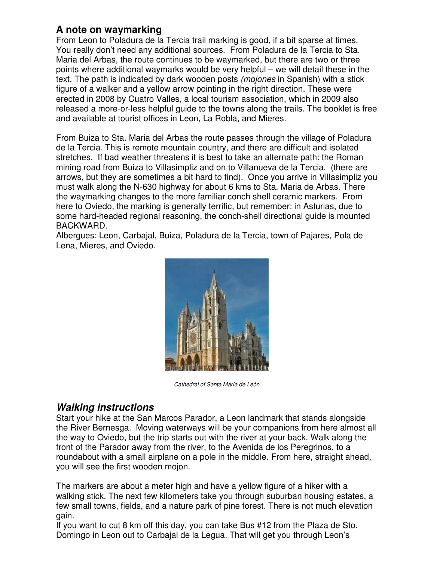## **A note on waymarking**

From Leon to Poladura de la Tercia trail marking is good, if a bit sparse at times. You really don't need any additional sources. From Poladura de la Tercia to Sta. Maria del Arbas, the route continues to be waymarked, but there are two or three points where additional waymarks would be very helpful – we will detail these in the text. The path is indicated by dark wooden posts (mojones in Spanish) with a stick figure of a walker and a yellow arrow pointing in the right direction. These were erected in 2008 by Cuatro Valles, a local tourism association, which in 2009 also released a more-or-less helpful guide to the towns along the trails. The booklet is free and available at tourist offices in Leon, La Robla, and Mieres.

From Buiza to Sta. Maria del Arbas the route passes through the village of Poladura de la Tercia. This is remote mountain country, and there are difficult and isolated stretches. If bad weather threatens it is best to take an alternate path: the Roman mining road from Buiza to Villasimpliz and on to Villanueva de la Tercia. (there are arrows, but they are sometimes a bit hard to find). Once you arrive in Villasimpliz you must walk along the N-630 highway for about 6 kms to Sta. Maria de Arbas. There the waymarking changes to the more familiar conch shell ceramic markers. From here to Oviedo, the marking is generally terrific, but remember: in Asturias, due to some hard-headed regional reasoning, the conch-shell directional guide is mounted BACKWARD.

Albergues: Leon, Carbajal, Buiza, Poladura de la Tercia, town of Pajares, Pola de Lena, Mieres, and Oviedo.



Cathedral of Santa María de León

## **Walking instructions**

Start your hike at the San Marcos Parador, a Leon landmark that stands alongside the River Bernesga. Moving waterways will be your companions from here almost all the way to Oviedo, but the trip starts out with the river at your back. Walk along the front of the Parador away from the river, to the Avenida de los Peregrinos, to a roundabout with a small airplane on a pole in the middle. From here, straight ahead, you will see the first wooden mojon.

The markers are about a meter high and have a yellow figure of a hiker with a walking stick. The next few kilometers take you through suburban housing estates, a few small towns, fields, and a nature park of pine forest. There is not much elevation gain.

If you want to cut 8 km off this day, you can take Bus #12 from the Plaza de Sto. Domingo in Leon out to Carbajal de la Legua. That will get you through Leon's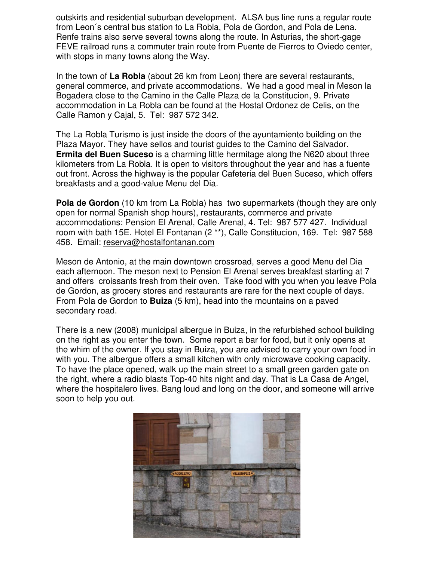outskirts and residential suburban development. ALSA bus line runs a regular route from Leon´s central bus station to La Robla, Pola de Gordon, and Pola de Lena. Renfe trains also serve several towns along the route. In Asturias, the short-gage FEVE railroad runs a commuter train route from Puente de Fierros to Oviedo center, with stops in many towns along the Way.

In the town of **La Robla** (about 26 km from Leon) there are several restaurants, general commerce, and private accommodations. We had a good meal in Meson la Bogadera close to the Camino in the Calle Plaza de la Constitucion, 9. Private accommodation in La Robla can be found at the Hostal Ordonez de Celis, on the Calle Ramon y Cajal, 5. Tel: 987 572 342.

The La Robla Turismo is just inside the doors of the ayuntamiento building on the Plaza Mayor. They have sellos and tourist guides to the Camino del Salvador. **Ermita del Buen Suceso** is a charming little hermitage along the N620 about three kilometers from La Robla. It is open to visitors throughout the year and has a fuente out front. Across the highway is the popular Cafeteria del Buen Suceso, which offers breakfasts and a good-value Menu del Dia.

**Pola de Gordon** (10 km from La Robla) has two supermarkets (though they are only open for normal Spanish shop hours), restaurants, commerce and private accommodations: Pension El Arenal, Calle Arenal, 4. Tel: 987 577 427. Individual room with bath 15E. Hotel El Fontanan (2 \*\*), Calle Constitucion, 169. Tel: 987 588 458. Email: reserva@hostalfontanan.com

Meson de Antonio, at the main downtown crossroad, serves a good Menu del Dia each afternoon. The meson next to Pension El Arenal serves breakfast starting at 7 and offers croissants fresh from their oven. Take food with you when you leave Pola de Gordon, as grocery stores and restaurants are rare for the next couple of days. From Pola de Gordon to **Buiza** (5 km), head into the mountains on a paved secondary road.

There is a new (2008) municipal albergue in Buiza, in the refurbished school building on the right as you enter the town. Some report a bar for food, but it only opens at the whim of the owner. If you stay in Buiza, you are advised to carry your own food in with you. The albergue offers a small kitchen with only microwave cooking capacity. To have the place opened, walk up the main street to a small green garden gate on the right, where a radio blasts Top-40 hits night and day. That is La Casa de Angel, where the hospitalero lives. Bang loud and long on the door, and someone will arrive soon to help you out.

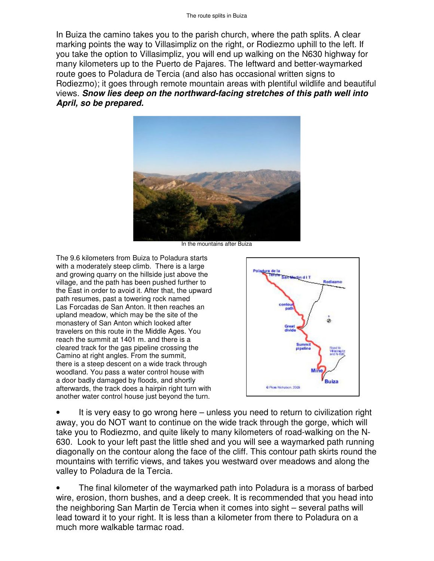In Buiza the camino takes you to the parish church, where the path splits. A clear marking points the way to Villasimpliz on the right, or Rodiezmo uphill to the left. If you take the option to Villasimpliz, you will end up walking on the N630 highway for many kilometers up to the Puerto de Pajares. The leftward and better-waymarked route goes to Poladura de Tercia (and also has occasional written signs to Rodiezmo); it goes through remote mountain areas with plentiful wildlife and beautiful views. **Snow lies deep on the northward-facing stretches of this path well into April, so be prepared.**



In the mountains after Buiza

The 9.6 kilometers from Buiza to Poladura starts with a moderately steep climb. There is a large and growing quarry on the hillside just above the village, and the path has been pushed further to the East in order to avoid it. After that, the upward path resumes, past a towering rock named Las Forcadas de San Anton. It then reaches an upland meadow, which may be the site of the monastery of San Anton which looked after travelers on this route in the Middle Ages. You reach the summit at 1401 m. and there is a cleared track for the gas pipeline crossing the Camino at right angles. From the summit, there is a steep descent on a wide track through woodland. You pass a water control house with a door badly damaged by floods, and shortly afterwards, the track does a hairpin right turn with another water control house just beyond the turn.



• It is very easy to go wrong here – unless you need to return to civilization right away, you do NOT want to continue on the wide track through the gorge, which will take you to Rodiezmo, and quite likely to many kilometers of road-walking on the N-630. Look to your left past the little shed and you will see a waymarked path running diagonally on the contour along the face of the cliff. This contour path skirts round the mountains with terrific views, and takes you westward over meadows and along the valley to Poladura de la Tercia.

• The final kilometer of the waymarked path into Poladura is a morass of barbed wire, erosion, thorn bushes, and a deep creek. It is recommended that you head into the neighboring San Martin de Tercia when it comes into sight – several paths will lead toward it to your right. It is less than a kilometer from there to Poladura on a much more walkable tarmac road.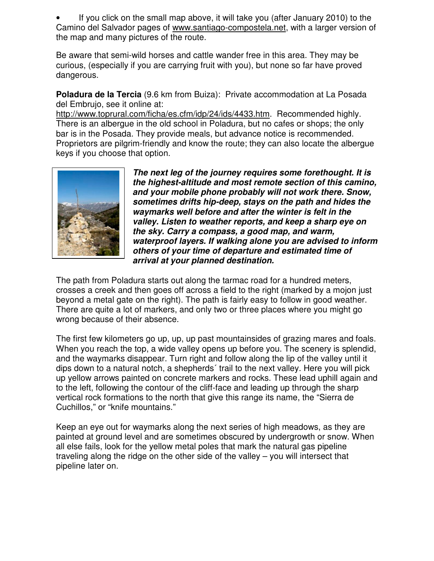• If you click on the small map above, it will take you (after January 2010) to the Camino del Salvador pages of www.santiago-compostela.net, with a larger version of the map and many pictures of the route.

Be aware that semi-wild horses and cattle wander free in this area. They may be curious, (especially if you are carrying fruit with you), but none so far have proved dangerous.

**Poladura de la Tercia** (9.6 km from Buiza): Private accommodation at La Posada del Embrujo, see it online at:

http://www.toprural.com/ficha/es.cfm/idp/24/ids/4433.htm. Recommended highly. There is an albergue in the old school in Poladura, but no cafes or shops; the only bar is in the Posada. They provide meals, but advance notice is recommended. Proprietors are pilgrim-friendly and know the route; they can also locate the albergue keys if you choose that option.



**The next leg of the journey requires some forethought. It is the highest-altitude and most remote section of this camino, and your mobile phone probably will not work there. Snow, sometimes drifts hip-deep, stays on the path and hides the waymarks well before and after the winter is felt in the valley. Listen to weather reports, and keep a sharp eye on the sky. Carry a compass, a good map, and warm, waterproof layers. If walking alone you are advised to inform others of your time of departure and estimated time of arrival at your planned destination.**

The path from Poladura starts out along the tarmac road for a hundred meters, crosses a creek and then goes off across a field to the right (marked by a mojon just beyond a metal gate on the right). The path is fairly easy to follow in good weather. There are quite a lot of markers, and only two or three places where you might go wrong because of their absence.

The first few kilometers go up, up, up past mountainsides of grazing mares and foals. When you reach the top, a wide valley opens up before you. The scenery is splendid, and the waymarks disappear. Turn right and follow along the lip of the valley until it dips down to a natural notch, a shepherds´ trail to the next valley. Here you will pick up yellow arrows painted on concrete markers and rocks. These lead uphill again and to the left, following the contour of the cliff-face and leading up through the sharp vertical rock formations to the north that give this range its name, the "Sierra de Cuchillos," or "knife mountains."

Keep an eye out for waymarks along the next series of high meadows, as they are painted at ground level and are sometimes obscured by undergrowth or snow. When all else fails, look for the yellow metal poles that mark the natural gas pipeline traveling along the ridge on the other side of the valley – you will intersect that pipeline later on.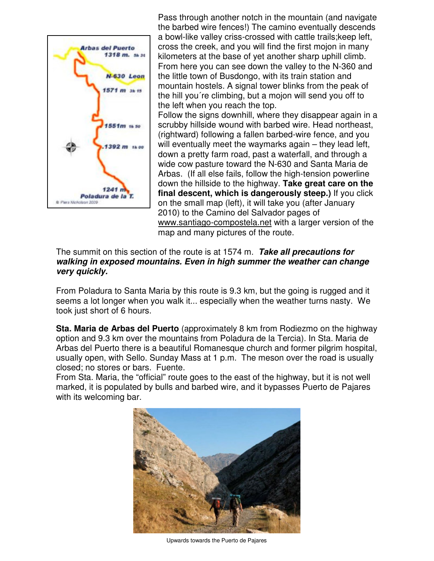

Pass through another notch in the mountain (and navigate the barbed wire fences!) The camino eventually descends a bowl-like valley criss-crossed with cattle trails;keep left, cross the creek, and you will find the first mojon in many kilometers at the base of yet another sharp uphill climb. From here you can see down the valley to the N-360 and the little town of Busdongo, with its train station and mountain hostels. A signal tower blinks from the peak of the hill you´re climbing, but a mojon will send you off to the left when you reach the top.

Follow the signs downhill, where they disappear again in a scrubby hillside wound with barbed wire. Head northeast, (rightward) following a fallen barbed-wire fence, and you will eventually meet the waymarks again – they lead left, down a pretty farm road, past a waterfall, and through a wide cow pasture toward the N-630 and Santa Maria de Arbas. (If all else fails, follow the high-tension powerline down the hillside to the highway. **Take great care on the final descent, which is dangerously steep.)** If you click on the small map (left), it will take you (after January 2010) to the Camino del Salvador pages of www.santiago-compostela.net with a larger version of the map and many pictures of the route.

#### The summit on this section of the route is at 1574 m. **Take all precautions for walking in exposed mountains. Even in high summer the weather can change very quickly.**

From Poladura to Santa Maria by this route is 9.3 km, but the going is rugged and it seems a lot longer when you walk it... especially when the weather turns nasty. We took just short of 6 hours.

**Sta. Maria de Arbas del Puerto** (approximately 8 km from Rodiezmo on the highway option and 9.3 km over the mountains from Poladura de la Tercia). In Sta. Maria de Arbas del Puerto there is a beautiful Romanesque church and former pilgrim hospital, usually open, with Sello. Sunday Mass at 1 p.m. The meson over the road is usually closed; no stores or bars. Fuente.

From Sta. Maria, the "official" route goes to the east of the highway, but it is not well marked, it is populated by bulls and barbed wire, and it bypasses Puerto de Pajares with its welcoming bar.



Upwards towards the Puerto de Pajares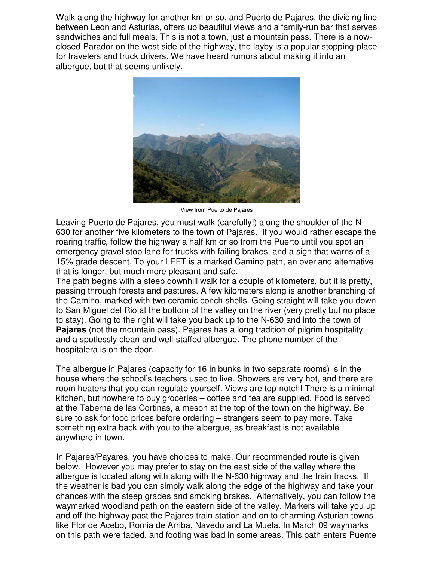Walk along the highway for another km or so, and Puerto de Pajares, the dividing line between Leon and Asturias, offers up beautiful views and a family-run bar that serves sandwiches and full meals. This is not a town, just a mountain pass. There is a nowclosed Parador on the west side of the highway, the layby is a popular stopping-place for travelers and truck drivers. We have heard rumors about making it into an albergue, but that seems unlikely.



View from Puerto de Pajares

Leaving Puerto de Pajares, you must walk (carefully!) along the shoulder of the N-630 for another five kilometers to the town of Pajares. If you would rather escape the roaring traffic, follow the highway a half km or so from the Puerto until you spot an emergency gravel stop lane for trucks with failing brakes, and a sign that warns of a 15% grade descent. To your LEFT is a marked Camino path, an overland alternative that is longer, but much more pleasant and safe.

The path begins with a steep downhill walk for a couple of kilometers, but it is pretty, passing through forests and pastures. A few kilometers along is another branching of the Camino, marked with two ceramic conch shells. Going straight will take you down to San Miguel del Rio at the bottom of the valley on the river (very pretty but no place to stay). Going to the right will take you back up to the N-630 and into the town of **Pajares** (not the mountain pass). Pajares has a long tradition of pilgrim hospitality, and a spotlessly clean and well-staffed albergue. The phone number of the hospitalera is on the door.

The albergue in Pajares (capacity for 16 in bunks in two separate rooms) is in the house where the school's teachers used to live. Showers are very hot, and there are room heaters that you can regulate yourself. Views are top-notch! There is a minimal kitchen, but nowhere to buy groceries – coffee and tea are supplied. Food is served at the Taberna de las Cortinas, a meson at the top of the town on the highway. Be sure to ask for food prices before ordering – strangers seem to pay more. Take something extra back with you to the albergue, as breakfast is not available anywhere in town.

In Pajares/Payares, you have choices to make. Our recommended route is given below. However you may prefer to stay on the east side of the valley where the albergue is located along with along with the N-630 highway and the train tracks. If the weather is bad you can simply walk along the edge of the highway and take your chances with the steep grades and smoking brakes. Alternatively, you can follow the waymarked woodland path on the eastern side of the valley. Markers will take you up and off the highway past the Pajares train station and on to charming Asturian towns like Flor de Acebo, Romia de Arriba, Navedo and La Muela. In March 09 waymarks on this path were faded, and footing was bad in some areas. This path enters Puente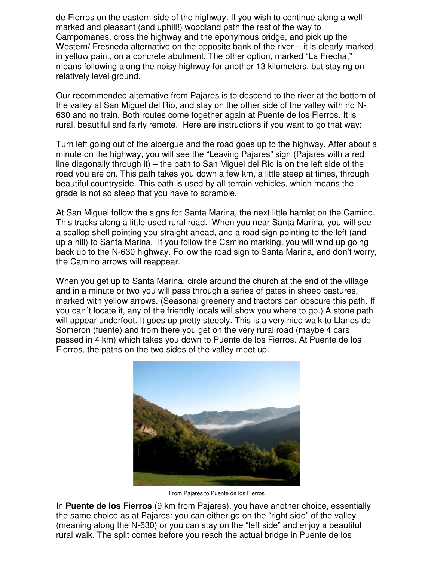de Fierros on the eastern side of the highway. If you wish to continue along a wellmarked and pleasant (and uphill!) woodland path the rest of the way to Campomanes, cross the highway and the eponymous bridge, and pick up the Western/ Fresneda alternative on the opposite bank of the river – it is clearly marked, in yellow paint, on a concrete abutment. The other option, marked "La Frecha," means following along the noisy highway for another 13 kilometers, but staying on relatively level ground.

Our recommended alternative from Pajares is to descend to the river at the bottom of the valley at San Miguel del Rio, and stay on the other side of the valley with no N-630 and no train. Both routes come together again at Puente de los Fierros. It is rural, beautiful and fairly remote. Here are instructions if you want to go that way:

Turn left going out of the albergue and the road goes up to the highway. After about a minute on the highway, you will see the "Leaving Pajares" sign (Pajares with a red line diagonally through it) – the path to San Miguel del Rio is on the left side of the road you are on. This path takes you down a few km, a little steep at times, through beautiful countryside. This path is used by all-terrain vehicles, which means the grade is not so steep that you have to scramble.

At San Miguel follow the signs for Santa Marina, the next little hamlet on the Camino. This tracks along a little-used rural road. When you near Santa Marina, you will see a scallop shell pointing you straight ahead, and a road sign pointing to the left (and up a hill) to Santa Marina. If you follow the Camino marking, you will wind up going back up to the N-630 highway. Follow the road sign to Santa Marina, and don't worry, the Camino arrows will reappear.

When you get up to Santa Marina, circle around the church at the end of the village and in a minute or two you will pass through a series of gates in sheep pastures, marked with yellow arrows. (Seasonal greenery and tractors can obscure this path. If you can´t locate it, any of the friendly locals will show you where to go.) A stone path will appear underfoot. It goes up pretty steeply. This is a very nice walk to Llanos de Someron (fuente) and from there you get on the very rural road (maybe 4 cars passed in 4 km) which takes you down to Puente de los Fierros. At Puente de los Fierros, the paths on the two sides of the valley meet up.



From Pajares to Puente de los Fierros

In **Puente de los Fierros** (9 km from Pajares), you have another choice, essentially the same choice as at Pajares: you can either go on the "right side" of the valley (meaning along the N-630) or you can stay on the "left side" and enjoy a beautiful rural walk. The split comes before you reach the actual bridge in Puente de los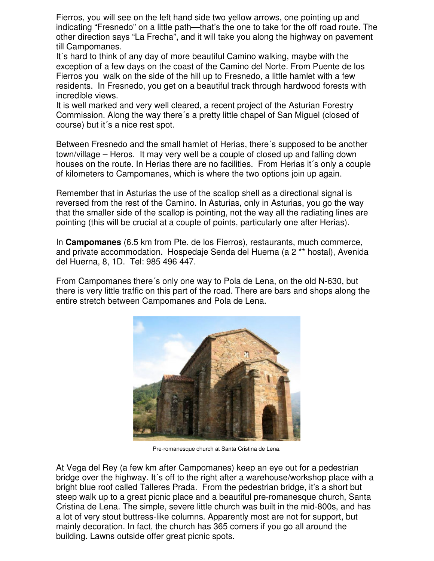Fierros, you will see on the left hand side two yellow arrows, one pointing up and indicating "Fresnedo" on a little path—that's the one to take for the off road route. The other direction says "La Frecha", and it will take you along the highway on pavement till Campomanes.

It´s hard to think of any day of more beautiful Camino walking, maybe with the exception of a few days on the coast of the Camino del Norte. From Puente de los Fierros you walk on the side of the hill up to Fresnedo, a little hamlet with a few residents. In Fresnedo, you get on a beautiful track through hardwood forests with incredible views.

It is well marked and very well cleared, a recent project of the Asturian Forestry Commission. Along the way there´s a pretty little chapel of San Miguel (closed of course) but it´s a nice rest spot.

Between Fresnedo and the small hamlet of Herias, there´s supposed to be another town/village – Heros. It may very well be a couple of closed up and falling down houses on the route. In Herias there are no facilities. From Herias it´s only a couple of kilometers to Campomanes, which is where the two options join up again.

Remember that in Asturias the use of the scallop shell as a directional signal is reversed from the rest of the Camino. In Asturias, only in Asturias, you go the way that the smaller side of the scallop is pointing, not the way all the radiating lines are pointing (this will be crucial at a couple of points, particularly one after Herias).

In **Campomanes** (6.5 km from Pte. de los Fierros), restaurants, much commerce, and private accommodation. Hospedaje Senda del Huerna (a 2 \*\* hostal), Avenida del Huerna, 8, 1D. Tel: 985 496 447.

From Campomanes there´s only one way to Pola de Lena, on the old N-630, but there is very little traffic on this part of the road. There are bars and shops along the entire stretch between Campomanes and Pola de Lena.



Pre-romanesque church at Santa Cristina de Lena.

At Vega del Rey (a few km after Campomanes) keep an eye out for a pedestrian bridge over the highway. It's off to the right after a warehouse/workshop place with a bright blue roof called Talleres Prada. From the pedestrian bridge, it's a short but steep walk up to a great picnic place and a beautiful pre-romanesque church, Santa Cristina de Lena. The simple, severe little church was built in the mid-800s, and has a lot of very stout buttress-like columns. Apparently most are not for support, but mainly decoration. In fact, the church has 365 corners if you go all around the building. Lawns outside offer great picnic spots.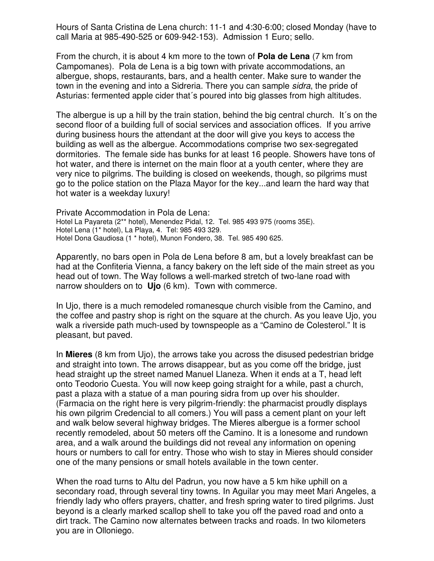Hours of Santa Cristina de Lena church: 11-1 and 4:30-6:00; closed Monday (have to call Maria at 985-490-525 or 609-942-153). Admission 1 Euro; sello.

From the church, it is about 4 km more to the town of **Pola de Lena** (7 km from Campomanes). Pola de Lena is a big town with private accommodations, an albergue, shops, restaurants, bars, and a health center. Make sure to wander the town in the evening and into a Sidreria. There you can sample sidra, the pride of Asturias: fermented apple cider that´s poured into big glasses from high altitudes.

The albergue is up a hill by the train station, behind the big central church. It´s on the second floor of a building full of social services and association offices. If you arrive during business hours the attendant at the door will give you keys to access the building as well as the albergue. Accommodations comprise two sex-segregated dormitories. The female side has bunks for at least 16 people. Showers have tons of hot water, and there is internet on the main floor at a youth center, where they are very nice to pilgrims. The building is closed on weekends, though, so pilgrims must go to the police station on the Plaza Mayor for the key...and learn the hard way that hot water is a weekday luxury!

Private Accommodation in Pola de Lena: Hotel La Payareta (2\*\* hotel), Menendez Pidal, 12. Tel. 985 493 975 (rooms 35E). Hotel Lena (1\* hotel), La Playa, 4. Tel: 985 493 329. Hotel Dona Gaudiosa (1 \* hotel), Munon Fondero, 38. Tel. 985 490 625.

Apparently, no bars open in Pola de Lena before 8 am, but a lovely breakfast can be had at the Confiteria Vienna, a fancy bakery on the left side of the main street as you head out of town. The Way follows a well-marked stretch of two-lane road with narrow shoulders on to **Ujo** (6 km). Town with commerce.

In Ujo, there is a much remodeled romanesque church visible from the Camino, and the coffee and pastry shop is right on the square at the church. As you leave Ujo, you walk a riverside path much-used by townspeople as a "Camino de Colesterol." It is pleasant, but paved.

In **Mieres** (8 km from Ujo), the arrows take you across the disused pedestrian bridge and straight into town. The arrows disappear, but as you come off the bridge, just head straight up the street named Manuel Llaneza. When it ends at a T, head left onto Teodorio Cuesta. You will now keep going straight for a while, past a church, past a plaza with a statue of a man pouring sidra from up over his shoulder. (Farmacia on the right here is very pilgrim-friendly: the pharmacist proudly displays his own pilgrim Credencial to all comers.) You will pass a cement plant on your left and walk below several highway bridges. The Mieres albergue is a former school recently remodeled, about 50 meters off the Camino. It is a lonesome and rundown area, and a walk around the buildings did not reveal any information on opening hours or numbers to call for entry. Those who wish to stay in Mieres should consider one of the many pensions or small hotels available in the town center.

When the road turns to Altu del Padrun, you now have a 5 km hike uphill on a secondary road, through several tiny towns. In Aguilar you may meet Mari Angeles, a friendly lady who offers prayers, chatter, and fresh spring water to tired pilgrims. Just beyond is a clearly marked scallop shell to take you off the paved road and onto a dirt track. The Camino now alternates between tracks and roads. In two kilometers you are in Olloniego.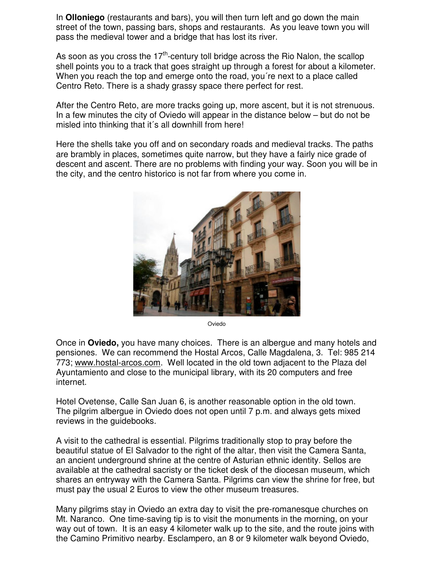In **Olloniego** (restaurants and bars), you will then turn left and go down the main street of the town, passing bars, shops and restaurants. As you leave town you will pass the medieval tower and a bridge that has lost its river.

As soon as you cross the  $17<sup>th</sup>$ -century toll bridge across the Rio Nalon, the scallop shell points you to a track that goes straight up through a forest for about a kilometer. When you reach the top and emerge onto the road, you're next to a place called Centro Reto. There is a shady grassy space there perfect for rest.

After the Centro Reto, are more tracks going up, more ascent, but it is not strenuous. In a few minutes the city of Oviedo will appear in the distance below – but do not be misled into thinking that it´s all downhill from here!

Here the shells take you off and on secondary roads and medieval tracks. The paths are brambly in places, sometimes quite narrow, but they have a fairly nice grade of descent and ascent. There are no problems with finding your way. Soon you will be in the city, and the centro historico is not far from where you come in.



Oviedo

Once in **Oviedo,** you have many choices. There is an albergue and many hotels and pensiones. We can recommend the Hostal Arcos, Calle Magdalena, 3. Tel: 985 214 773; www.hostal-arcos.com. Well located in the old town adjacent to the Plaza del Ayuntamiento and close to the municipal library, with its 20 computers and free internet.

Hotel Ovetense, Calle San Juan 6, is another reasonable option in the old town. The pilgrim albergue in Oviedo does not open until 7 p.m. and always gets mixed reviews in the guidebooks.

A visit to the cathedral is essential. Pilgrims traditionally stop to pray before the beautiful statue of El Salvador to the right of the altar, then visit the Camera Santa, an ancient underground shrine at the centre of Asturian ethnic identity. Sellos are available at the cathedral sacristy or the ticket desk of the diocesan museum, which shares an entryway with the Camera Santa. Pilgrims can view the shrine for free, but must pay the usual 2 Euros to view the other museum treasures.

Many pilgrims stay in Oviedo an extra day to visit the pre-romanesque churches on Mt. Naranco. One time-saving tip is to visit the monuments in the morning, on your way out of town. It is an easy 4 kilometer walk up to the site, and the route joins with the Camino Primitivo nearby. Esclampero, an 8 or 9 kilometer walk beyond Oviedo,